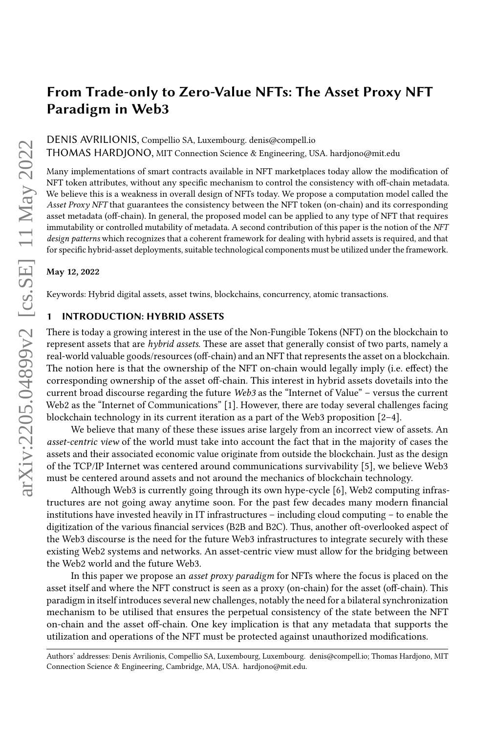DENIS AVRILIONIS, Compellio SA, Luxembourg. [denis@compell.io](mailto:denis@compell.io)

THOMAS HARDJONO, MIT Connection Science & Engineering, USA. [hardjono@mit.edu](mailto:hardjono@mit.edu)

Many implementations of smart contracts available in NFT marketplaces today allow the modification of NFT token attributes, without any specific mechanism to control the consistency with off-chain metadata. We believe this is a weakness in overall design of NFTs today. We propose a computation model called the Asset Proxy NFT that guarantees the consistency between the NFT token (on-chain) and its corresponding asset metadata (off-chain). In general, the proposed model can be applied to any type of NFT that requires immutability or controlled mutability of metadata. A second contribution of this paper is the notion of the NFT design patterns which recognizes that a coherent framework for dealing with hybrid assets is required, and that for specific hybrid-asset deployments, suitable technological components must be utilized under the framework.

#### May 12, 2022

Keywords: Hybrid digital assets, asset twins, blockchains, concurrency, atomic transactions.

### 1 INTRODUCTION: HYBRID ASSETS

There is today a growing interest in the use of the Non-Fungible Tokens (NFT) on the blockchain to represent assets that are hybrid assets. These are asset that generally consist of two parts, namely a real-world valuable goods/resources (off-chain) and an NFT that represents the asset on a blockchain. The notion here is that the ownership of the NFT on-chain would legally imply (i.e. effect) the corresponding ownership of the asset off-chain. This interest in hybrid assets dovetails into the current broad discourse regarding the future Web3 as the "Internet of Value" – versus the current Web2 as the "Internet of Communications" [\[1\]](#page-13-0). However, there are today several challenges facing blockchain technology in its current iteration as a part of the Web3 proposition  $[2-4]$  $[2-4]$ .

We believe that many of these these issues arise largely from an incorrect view of assets. An asset-centric view of the world must take into account the fact that in the majority of cases the assets and their associated economic value originate from outside the blockchain. Just as the design of the TCP/IP Internet was centered around communications survivability [\[5\]](#page-13-3), we believe Web3 must be centered around assets and not around the mechanics of blockchain technology.

Although Web3 is currently going through its own hype-cycle [\[6\]](#page-13-4), Web2 computing infrastructures are not going away anytime soon. For the past few decades many modern financial institutions have invested heavily in IT infrastructures – including cloud computing – to enable the digitization of the various financial services (B2B and B2C). Thus, another oft-overlooked aspect of the Web3 discourse is the need for the future Web3 infrastructures to integrate securely with these existing Web2 systems and networks. An asset-centric view must allow for the bridging between the Web2 world and the future Web3.

In this paper we propose an asset proxy paradigm for NFTs where the focus is placed on the asset itself and where the NFT construct is seen as a proxy (on-chain) for the asset (off-chain). This paradigm in itself introduces several new challenges, notably the need for a bilateral synchronization mechanism to be utilised that ensures the perpetual consistency of the state between the NFT on-chain and the asset off-chain. One key implication is that any metadata that supports the utilization and operations of the NFT must be protected against unauthorized modifications.

Authors' addresses: Denis Avrilionis, Compellio SA, Luxembourg, Luxembourg. [denis@compell.io;](mailto:denis@compell.io) Thomas Hardjono, MIT Connection Science & Engineering, Cambridge, MA, USA. [hardjono@mit.edu.](mailto:hardjono@mit.edu)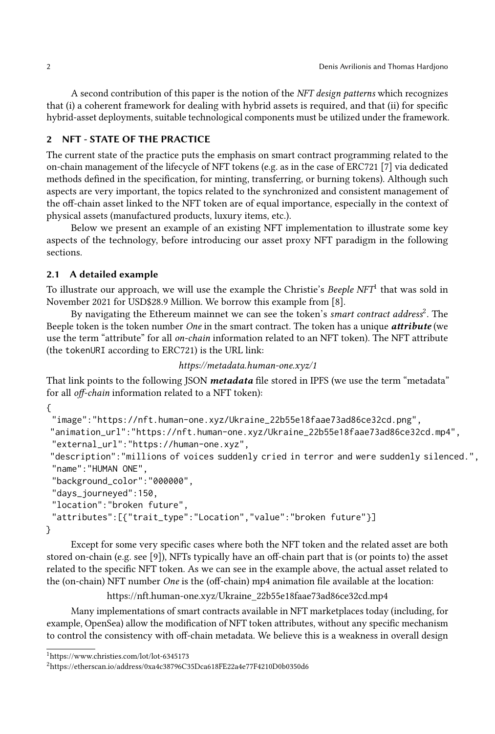A second contribution of this paper is the notion of the NFT design patterns which recognizes that (i) a coherent framework for dealing with hybrid assets is required, and that (ii) for specific hybrid-asset deployments, suitable technological components must be utilized under the framework.

# 2 NFT - STATE OF THE PRACTICE

The current state of the practice puts the emphasis on smart contract programming related to the on-chain management of the lifecycle of NFT tokens (e.g. as in the case of ERC721 [\[7\]](#page-13-5) via dedicated methods defined in the specification, for minting, transferring, or burning tokens). Although such aspects are very important, the topics related to the synchronized and consistent management of the off-chain asset linked to the NFT token are of equal importance, especially in the context of physical assets (manufactured products, luxury items, etc.).

Below we present an example of an existing NFT implementation to illustrate some key aspects of the technology, before introducing our asset proxy NFT paradigm in the following sections.

# 2.1 A detailed example

To illustrate our approach, we will use the example the Christie's [Beeple NFT](https://www.christies.com/lot/lot-6345173)<sup>[1](#page-1-0)</sup> that was sold in November 2021 for USD\$28.9 Million. We borrow this example from [\[8\]](#page-13-6).

By navigating the Ethereum mainnet we can see the token's [smart contract address](https://etherscan.io/address/0xa4c38796C35Dca618FE22a4e77F4210D0b0350d6)<sup>[2](#page-1-1)</sup>. The Beeple token is the token number One in the smart contract. The token has a unique **attribute** (we use the term "attribute" for all on-chain information related to an NFT token). The NFT attribute (the tokenURI according to ERC721) is the URL link:

<https://metadata.human-one.xyz/1>

That link points to the following JSON metadata file stored in IPFS (we use the term "metadata" for all off-chain information related to a NFT token):

{

```
"image":"https://nft.human-one.xyz/Ukraine_22b55e18faae73ad86ce32cd.png",
```

```
"animation_url":"https://nft.human-one.xyz/Ukraine_22b55e18faae73ad86ce32cd.mp4",
"external_url":"https://human-one.xyz",
```
"description":"millions of voices suddenly cried in terror and were suddenly silenced.", "name":"HUMAN ONE",

```
"background_color":"000000",
 "days_journeyed":150,
 "location":"broken future",
 "attributes":[{"trait_type":"Location","value":"broken future"}]
}
```
Except for some very specific cases where both the NFT token and the related asset are both stored on-chain (e.g. see [\[9\]](#page-13-7)), NFTs typically have an off-chain part that is (or points to) the asset related to the specific NFT token. As we can see in the example above, the actual asset related to the (on-chain) NFT number One is the (off-chain) mp4 animation file available at the location:

[https://nft.human-one.xyz/Ukraine\\_22b55e18faae73ad86ce32cd.mp4](https://nft.human-one.xyz/Ukraine_22b55e18faae73ad86ce32cd.mp4)

Many implementations of smart contracts available in NFT marketplaces today (including, for example, OpenSea) allow the modification of NFT token attributes, without any specific mechanism to control the consistency with off-chain metadata. We believe this is a weakness in overall design

<span id="page-1-0"></span><sup>1</sup><https://www.christies.com/lot/lot-6345173>

<span id="page-1-1"></span><sup>2</sup><https://etherscan.io/address/0xa4c38796C35Dca618FE22a4e77F4210D0b0350d6>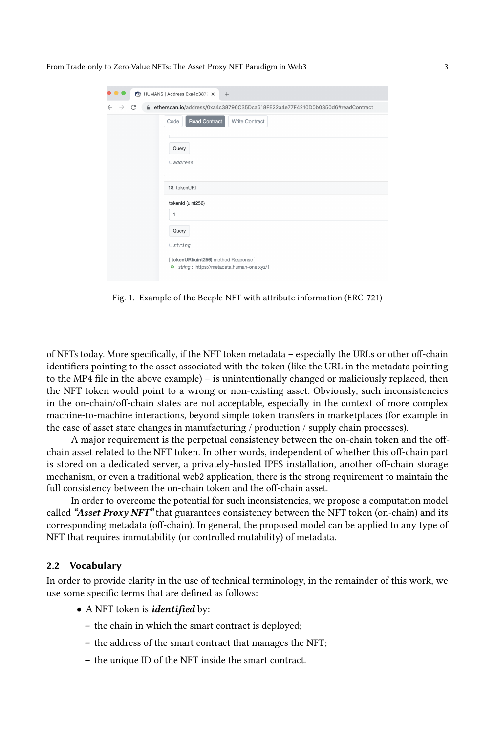| n HUMANS   Address 0xa4c387€ X +                                                        |                                                                                      |
|-----------------------------------------------------------------------------------------|--------------------------------------------------------------------------------------|
| etherscan.io/address/0xa4c38796C35Dca618FE22a4e77F4210D0b0350d6#readContract<br>C<br>Α. |                                                                                      |
|                                                                                         | <b>Read Contract</b><br>Write Contract<br>Code                                       |
|                                                                                         | Query                                                                                |
|                                                                                         | $L$ address                                                                          |
|                                                                                         | 18. tokenURI                                                                         |
|                                                                                         | tokenId (uint256)                                                                    |
|                                                                                         | 1                                                                                    |
|                                                                                         | Query                                                                                |
|                                                                                         | $-$ string                                                                           |
|                                                                                         | [ tokenURI(uint256) method Response ]<br>>> string: https://metadata.human-one.xyz/1 |

Fig. 1. Example of the Beeple NFT with attribute information (ERC-721)

of NFTs today. More specifically, if the NFT token metadata – especially the URLs or other off-chain identifiers pointing to the asset associated with the token (like the URL in the metadata pointing to the MP4 file in the above example) – is unintentionally changed or maliciously replaced, then the NFT token would point to a wrong or non-existing asset. Obviously, such inconsistencies in the on-chain/off-chain states are not acceptable, especially in the context of more complex machine-to-machine interactions, beyond simple token transfers in marketplaces (for example in the case of asset state changes in manufacturing / production / supply chain processes).

A major requirement is the perpetual consistency between the on-chain token and the offchain asset related to the NFT token. In other words, independent of whether this off-chain part is stored on a dedicated server, a privately-hosted IPFS installation, another off-chain storage mechanism, or even a traditional web2 application, there is the strong requirement to maintain the full consistency between the on-chain token and the off-chain asset.

In order to overcome the potential for such inconsistencies, we propose a computation model called "Asset Proxy NFT" that guarantees consistency between the NFT token (on-chain) and its corresponding metadata (off-chain). In general, the proposed model can be applied to any type of NFT that requires immutability (or controlled mutability) of metadata.

#### <span id="page-2-0"></span>2.2 Vocabulary

In order to provide clarity in the use of technical terminology, in the remainder of this work, we use some specific terms that are defined as follows:

- A NFT token is *identified* by:
	- the chain in which the smart contract is deployed;
	- the address of the smart contract that manages the NFT;
	- the unique ID of the NFT inside the smart contract.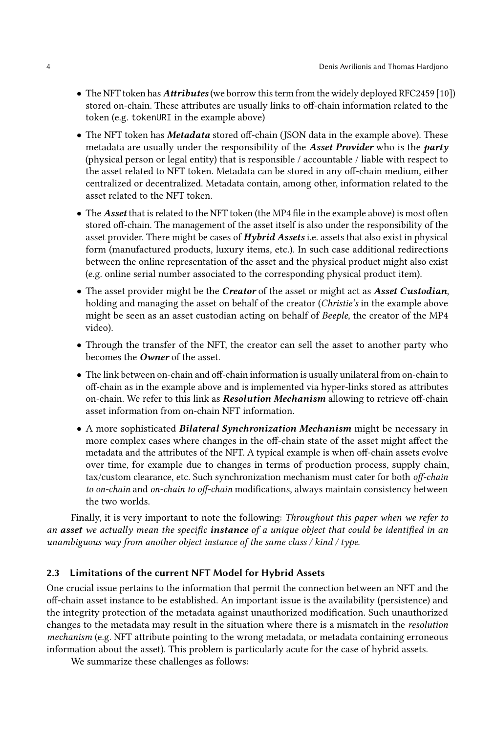- The NFT token has *Attributes* (we borrow this term from the widely deployed RFC2459 [\[10\]](#page-13-8)) stored on-chain. These attributes are usually links to off-chain information related to the token (e.g. tokenURI in the example above)
- The NFT token has **Metadata** stored off-chain (JSON data in the example above). These metadata are usually under the responsibility of the Asset Provider who is the party (physical person or legal entity) that is responsible / accountable / liable with respect to the asset related to NFT token. Metadata can be stored in any off-chain medium, either centralized or decentralized. Metadata contain, among other, information related to the asset related to the NFT token.
- The Asset that is related to the NFT token (the MP4 file in the example above) is most often stored off-chain. The management of the asset itself is also under the responsibility of the asset provider. There might be cases of *Hybrid Assets* i.e. assets that also exist in physical form (manufactured products, luxury items, etc.). In such case additional redirections between the online representation of the asset and the physical product might also exist (e.g. online serial number associated to the corresponding physical product item).
- The asset provider might be the *Creator* of the asset or might act as *Asset Custodian*, holding and managing the asset on behalf of the creator (Christie's in the example above might be seen as an asset custodian acting on behalf of Beeple, the creator of the MP4 video).
- Through the transfer of the NFT, the creator can sell the asset to another party who becomes the **Owner** of the asset.
- The link between on-chain and off-chain information is usually unilateral from on-chain to off-chain as in the example above and is implemented via hyper-links stored as attributes on-chain. We refer to this link as *Resolution Mechanism* allowing to retrieve off-chain asset information from on-chain NFT information.
- A more sophisticated Bilateral Synchronization Mechanism might be necessary in more complex cases where changes in the off-chain state of the asset might affect the metadata and the attributes of the NFT. A typical example is when off-chain assets evolve over time, for example due to changes in terms of production process, supply chain, tax/custom clearance, etc. Such synchronization mechanism must cater for both off-chain to on-chain and on-chain to off-chain modifications, always maintain consistency between the two worlds.

Finally, it is very important to note the following: Throughout this paper when we refer to an asset we actually mean the specific instance of a unique object that could be identified in an unambiguous way from another object instance of the same class / kind / type.

### 2.3 Limitations of the current NFT Model for Hybrid Assets

One crucial issue pertains to the information that permit the connection between an NFT and the off-chain asset instance to be established. An important issue is the availability (persistence) and the integrity protection of the metadata against unauthorized modification. Such unauthorized changes to the metadata may result in the situation where there is a mismatch in the resolution mechanism (e.g. NFT attribute pointing to the wrong metadata, or metadata containing erroneous information about the asset). This problem is particularly acute for the case of hybrid assets.

We summarize these challenges as follows: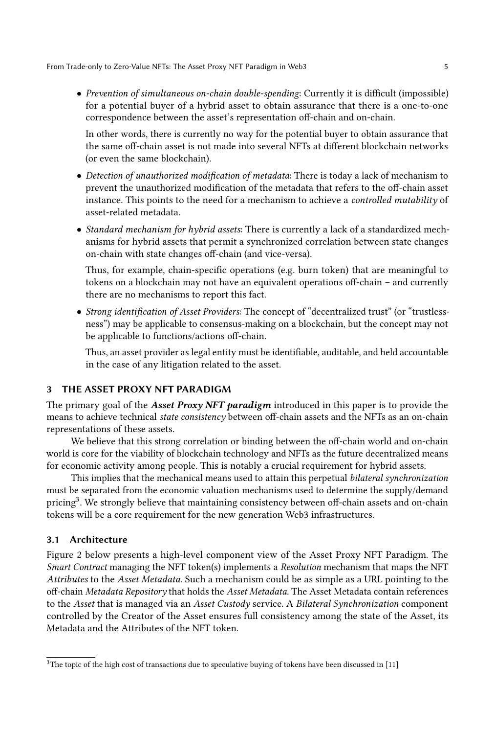• Prevention of simultaneous on-chain double-spending: Currently it is difficult (impossible) for a potential buyer of a hybrid asset to obtain assurance that there is a one-to-one correspondence between the asset's representation off-chain and on-chain.

In other words, there is currently no way for the potential buyer to obtain assurance that the same off-chain asset is not made into several NFTs at different blockchain networks (or even the same blockchain).

- Detection of unauthorized modification of metadata: There is today a lack of mechanism to prevent the unauthorized modification of the metadata that refers to the off-chain asset instance. This points to the need for a mechanism to achieve a controlled mutability of asset-related metadata.
- Standard mechanism for hybrid assets: There is currently a lack of a standardized mechanisms for hybrid assets that permit a synchronized correlation between state changes on-chain with state changes off-chain (and vice-versa).

Thus, for example, chain-specific operations (e.g. burn token) that are meaningful to tokens on a blockchain may not have an equivalent operations off-chain – and currently there are no mechanisms to report this fact.

• Strong identification of Asset Providers: The concept of "decentralized trust" (or "trustlessness") may be applicable to consensus-making on a blockchain, but the concept may not be applicable to functions/actions off-chain.

Thus, an asset provider as legal entity must be identifiable, auditable, and held accountable in the case of any litigation related to the asset.

### 3 THE ASSET PROXY NFT PARADIGM

The primary goal of the **Asset Proxy NFT paradigm** introduced in this paper is to provide the means to achieve technical state consistency between off-chain assets and the NFTs as an on-chain representations of these assets.

We believe that this strong correlation or binding between the off-chain world and on-chain world is core for the viability of blockchain technology and NFTs as the future decentralized means for economic activity among people. This is notably a crucial requirement for hybrid assets.

This implies that the mechanical means used to attain this perpetual bilateral synchronization must be separated from the economic valuation mechanisms used to determine the supply/demand pricing<sup>[3](#page-4-0)</sup>. We strongly believe that maintaining consistency between off-chain assets and on-chain tokens will be a core requirement for the new generation Web3 infrastructures.

### 3.1 Architecture

Figure [2](#page-5-0) below presents a high-level component view of the Asset Proxy NFT Paradigm. The Smart Contract managing the NFT token(s) implements a Resolution mechanism that maps the NFT Attributes to the Asset Metadata. Such a mechanism could be as simple as a URL pointing to the off-chain Metadata Repository that holds the Asset Metadata. The Asset Metadata contain references to the Asset that is managed via an Asset Custody service. A Bilateral Synchronization component controlled by the Creator of the Asset ensures full consistency among the state of the Asset, its Metadata and the Attributes of the NFT token.

<span id="page-4-0"></span> $3$ The topic of the high cost of transactions due to speculative buying of tokens have been discussed in [\[11\]](#page-13-9)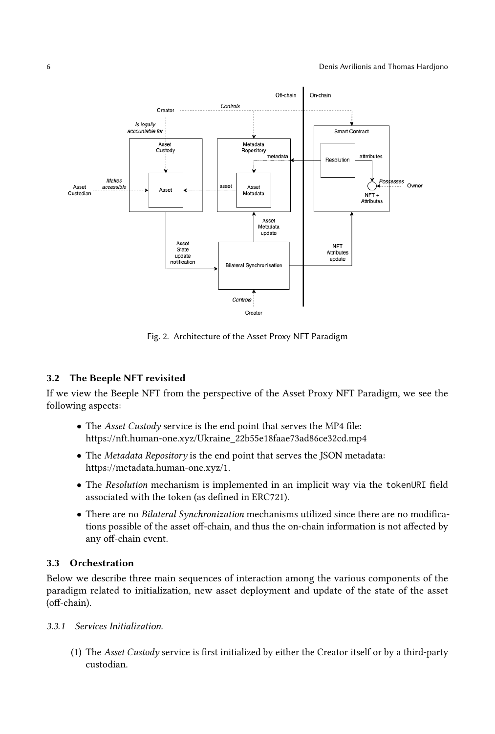<span id="page-5-0"></span>

Fig. 2. Architecture of the Asset Proxy NFT Paradigm

# 3.2 The Beeple NFT revisited

If we view the Beeple NFT from the perspective of the Asset Proxy NFT Paradigm, we see the following aspects:

- The Asset Custody service is the end point that serves the MP4 file: [https://nft.human-one.xyz/Ukraine\\_22b55e18faae73ad86ce32cd.mp4](https://nft.human-one.xyz/Ukraine_22b55e18faae73ad86ce32cd.mp4)
- The Metadata Repository is the end point that serves the JSON metadata: [https://metadata.human-one.xyz/1.](https://metadata.human-one.xyz/1)
- The Resolution mechanism is implemented in an implicit way via the tokenURI field associated with the token (as defined in ERC721).
- There are no Bilateral Synchronization mechanisms utilized since there are no modifications possible of the asset off-chain, and thus the on-chain information is not affected by any off-chain event.

# 3.3 Orchestration

Below we describe three main sequences of interaction among the various components of the paradigm related to initialization, new asset deployment and update of the state of the asset (off-chain).

- 3.3.1 Services Initialization.
	- (1) The Asset Custody service is first initialized by either the Creator itself or by a third-party custodian.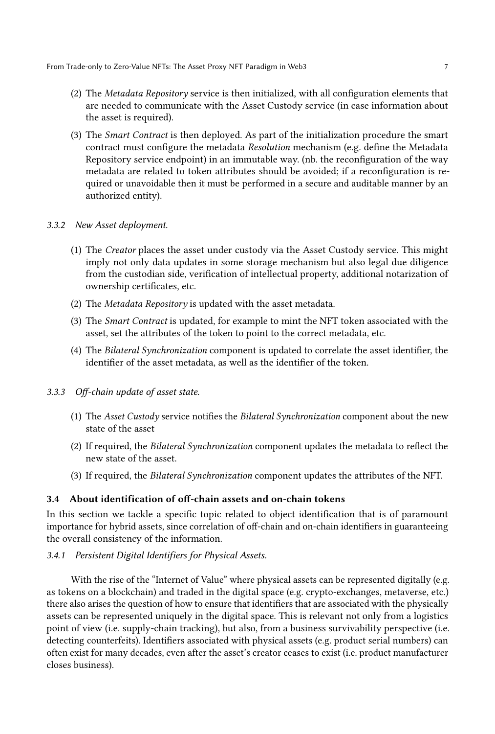- (2) The Metadata Repository service is then initialized, with all configuration elements that are needed to communicate with the Asset Custody service (in case information about the asset is required).
- (3) The Smart Contract is then deployed. As part of the initialization procedure the smart contract must configure the metadata Resolution mechanism (e.g. define the Metadata Repository service endpoint) in an immutable way. (nb. the reconfiguration of the way metadata are related to token attributes should be avoided; if a reconfiguration is required or unavoidable then it must be performed in a secure and auditable manner by an authorized entity).
- 3.3.2 New Asset deployment.
	- (1) The Creator places the asset under custody via the Asset Custody service. This might imply not only data updates in some storage mechanism but also legal due diligence from the custodian side, verification of intellectual property, additional notarization of ownership certificates, etc.
	- (2) The Metadata Repository is updated with the asset metadata.
	- (3) The Smart Contract is updated, for example to mint the NFT token associated with the asset, set the attributes of the token to point to the correct metadata, etc.
	- (4) The Bilateral Synchronization component is updated to correlate the asset identifier, the identifier of the asset metadata, as well as the identifier of the token.
- 3.3.3 Off-chain update of asset state.
	- (1) The Asset Custody service notifies the Bilateral Synchronization component about the new state of the asset
	- (2) If required, the Bilateral Synchronization component updates the metadata to reflect the new state of the asset.
	- (3) If required, the Bilateral Synchronization component updates the attributes of the NFT.

# 3.4 About identification of off-chain assets and on-chain tokens

In this section we tackle a specific topic related to object identification that is of paramount importance for hybrid assets, since correlation of off-chain and on-chain identifiers in guaranteeing the overall consistency of the information.

### 3.4.1 Persistent Digital Identifiers for Physical Assets.

With the rise of the "Internet of Value" where physical assets can be represented digitally (e.g. as tokens on a blockchain) and traded in the digital space (e.g. crypto-exchanges, metaverse, etc.) there also arises the question of how to ensure that identifiers that are associated with the physically assets can be represented uniquely in the digital space. This is relevant not only from a logistics point of view (i.e. supply-chain tracking), but also, from a business survivability perspective (i.e. detecting counterfeits). Identifiers associated with physical assets (e.g. product serial numbers) can often exist for many decades, even after the asset's creator ceases to exist (i.e. product manufacturer closes business).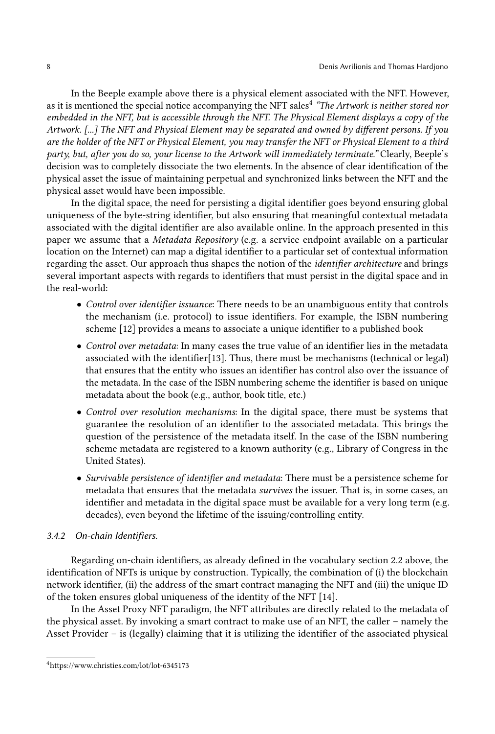In the Beeple example above there is a physical element associated with the NFT. However, as it is mentioned the special notice accompanying the NFT sales<sup>[4](#page-7-0)</sup> "T*he Artwork is neither stored nor* embedded in the NFT, but is accessible through the NFT. The Physical Element displays a copy of the Artwork. [...] The NFT and Physical Element may be separated and owned by different persons. If you are the holder of the NFT or Physical Element, you may transfer the NFT or Physical Element to a third party, but, after you do so, your license to the Artwork will immediately terminate." Clearly, Beeple's decision was to completely dissociate the two elements. In the absence of clear identification of the physical asset the issue of maintaining perpetual and synchronized links between the NFT and the physical asset would have been impossible.

In the digital space, the need for persisting a digital identifier goes beyond ensuring global uniqueness of the byte-string identifier, but also ensuring that meaningful contextual metadata associated with the digital identifier are also available online. In the approach presented in this paper we assume that a Metadata Repository (e.g. a service endpoint available on a particular location on the Internet) can map a digital identifier to a particular set of contextual information regarding the asset. Our approach thus shapes the notion of the identifier architecture and brings several important aspects with regards to identifiers that must persist in the digital space and in the real-world:

- Control over identifier issuance: There needs to be an unambiguous entity that controls the mechanism (i.e. protocol) to issue identifiers. For example, the ISBN numbering scheme [\[12\]](#page-13-10) provides a means to associate a unique identifier to a published book
- Control over metadata: In many cases the true value of an identifier lies in the metadata associated with the identifier[\[13\]](#page-13-11). Thus, there must be mechanisms (technical or legal) that ensures that the entity who issues an identifier has control also over the issuance of the metadata. In the case of the ISBN numbering scheme the identifier is based on unique metadata about the book (e.g., author, book title, etc.)
- Control over resolution mechanisms: In the digital space, there must be systems that guarantee the resolution of an identifier to the associated metadata. This brings the question of the persistence of the metadata itself. In the case of the ISBN numbering scheme metadata are registered to a known authority (e.g., Library of Congress in the United States).
- Survivable persistence of identifier and metadata: There must be a persistence scheme for metadata that ensures that the metadata survives the issuer. That is, in some cases, an identifier and metadata in the digital space must be available for a very long term (e.g. decades), even beyond the lifetime of the issuing/controlling entity.

#### 3.4.2 On-chain Identifiers.

Regarding on-chain identifiers, as already defined in the vocabulary section [2.2](#page-2-0) above, the identification of NFTs is unique by construction. Typically, the combination of (i) the blockchain network identifier, (ii) the address of the smart contract managing the NFT and (iii) the unique ID of the token ensures global uniqueness of the identity of the NFT [\[14\]](#page-13-12).

In the Asset Proxy NFT paradigm, the NFT attributes are directly related to the metadata of the physical asset. By invoking a smart contract to make use of an NFT, the caller – namely the Asset Provider – is (legally) claiming that it is utilizing the identifier of the associated physical

<span id="page-7-0"></span><sup>4</sup><https://www.christies.com/lot/lot-6345173>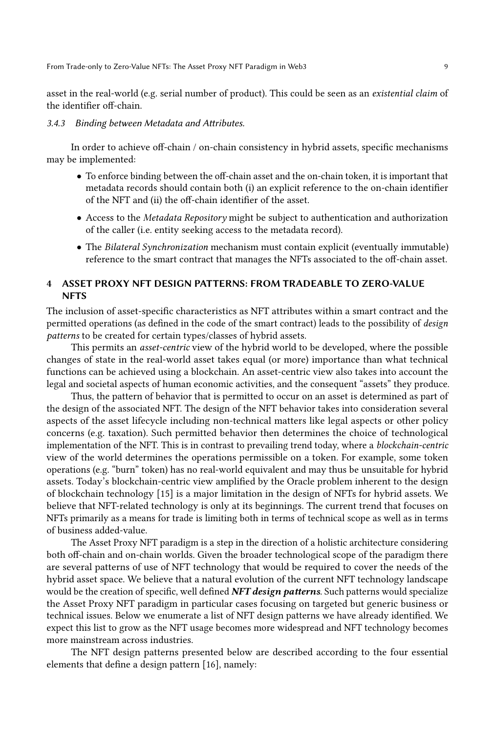asset in the real-world (e.g. serial number of product). This could be seen as an existential claim of the identifier off-chain.

#### 3.4.3 Binding between Metadata and Attributes.

In order to achieve off-chain / on-chain consistency in hybrid assets, specific mechanisms may be implemented:

- To enforce binding between the off-chain asset and the on-chain token, it is important that metadata records should contain both (i) an explicit reference to the on-chain identifier of the NFT and (ii) the off-chain identifier of the asset.
- Access to the Metadata Repository might be subject to authentication and authorization of the caller (i.e. entity seeking access to the metadata record).
- The Bilateral Synchronization mechanism must contain explicit (eventually immutable) reference to the smart contract that manages the NFTs associated to the off-chain asset.

# 4 ASSET PROXY NFT DESIGN PATTERNS: FROM TRADEABLE TO ZERO-VALUE NFTS

The inclusion of asset-specific characteristics as NFT attributes within a smart contract and the permitted operations (as defined in the code of the smart contract) leads to the possibility of design patterns to be created for certain types/classes of hybrid assets.

This permits an *asset-centric* view of the hybrid world to be developed, where the possible changes of state in the real-world asset takes equal (or more) importance than what technical functions can be achieved using a blockchain. An asset-centric view also takes into account the legal and societal aspects of human economic activities, and the consequent "assets" they produce.

Thus, the pattern of behavior that is permitted to occur on an asset is determined as part of the design of the associated NFT. The design of the NFT behavior takes into consideration several aspects of the asset lifecycle including non-technical matters like legal aspects or other policy concerns (e.g. taxation). Such permitted behavior then determines the choice of technological implementation of the NFT. This is in contrast to prevailing trend today, where a blockchain-centric view of the world determines the operations permissible on a token. For example, some token operations (e.g. "burn" token) has no real-world equivalent and may thus be unsuitable for hybrid assets. Today's blockchain-centric view amplified by the Oracle problem inherent to the design of blockchain technology [\[15\]](#page-13-13) is a major limitation in the design of NFTs for hybrid assets. We believe that NFT-related technology is only at its beginnings. The current trend that focuses on NFTs primarily as a means for trade is limiting both in terms of technical scope as well as in terms of business added-value.

The Asset Proxy NFT paradigm is a step in the direction of a holistic architecture considering both off-chain and on-chain worlds. Given the broader technological scope of the paradigm there are several patterns of use of NFT technology that would be required to cover the needs of the hybrid asset space. We believe that a natural evolution of the current NFT technology landscape would be the creation of specific, well defined NFT design patterns. Such patterns would specialize the Asset Proxy NFT paradigm in particular cases focusing on targeted but generic business or technical issues. Below we enumerate a list of NFT design patterns we have already identified. We expect this list to grow as the NFT usage becomes more widespread and NFT technology becomes more mainstream across industries.

The NFT design patterns presented below are described according to the four essential elements that define a design pattern [\[16\]](#page-13-14), namely: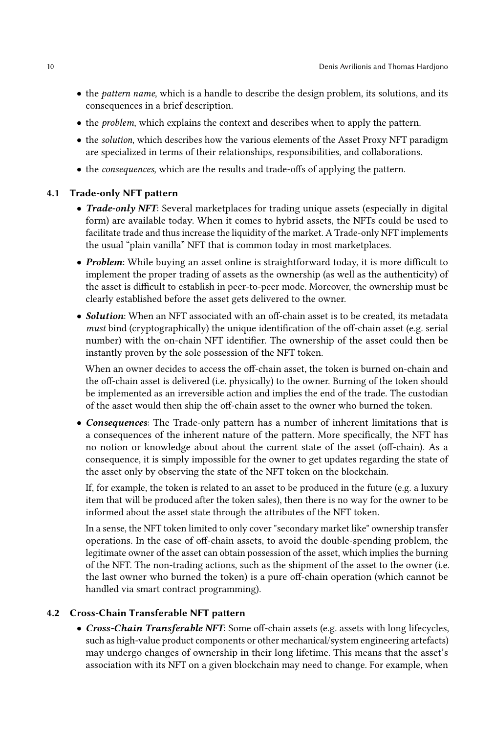- the pattern name, which is a handle to describe the design problem, its solutions, and its consequences in a brief description.
- the problem, which explains the context and describes when to apply the pattern.
- the solution, which describes how the various elements of the Asset Proxy NFT paradigm are specialized in terms of their relationships, responsibilities, and collaborations.
- the consequences, which are the results and trade-offs of applying the pattern.

### 4.1 Trade-only NFT pattern

- Trade-only NFT: Several marketplaces for trading unique assets (especially in digital form) are available today. When it comes to hybrid assets, the NFTs could be used to facilitate trade and thus increase the liquidity of the market. A Trade-only NFT implements the usual "plain vanilla" NFT that is common today in most marketplaces.
- Problem: While buying an asset online is straightforward today, it is more difficult to implement the proper trading of assets as the ownership (as well as the authenticity) of the asset is difficult to establish in peer-to-peer mode. Moreover, the ownership must be clearly established before the asset gets delivered to the owner.
- Solution: When an NFT associated with an off-chain asset is to be created, its metadata must bind (cryptographically) the unique identification of the off-chain asset (e.g. serial number) with the on-chain NFT identifier. The ownership of the asset could then be instantly proven by the sole possession of the NFT token.

When an owner decides to access the off-chain asset, the token is burned on-chain and the off-chain asset is delivered (i.e. physically) to the owner. Burning of the token should be implemented as an irreversible action and implies the end of the trade. The custodian of the asset would then ship the off-chain asset to the owner who burned the token.

• Consequences: The Trade-only pattern has a number of inherent limitations that is a consequences of the inherent nature of the pattern. More specifically, the NFT has no notion or knowledge about about the current state of the asset (off-chain). As a consequence, it is simply impossible for the owner to get updates regarding the state of the asset only by observing the state of the NFT token on the blockchain.

If, for example, the token is related to an asset to be produced in the future (e.g. a luxury item that will be produced after the token sales), then there is no way for the owner to be informed about the asset state through the attributes of the NFT token.

In a sense, the NFT token limited to only cover "secondary market like" ownership transfer operations. In the case of off-chain assets, to avoid the double-spending problem, the legitimate owner of the asset can obtain possession of the asset, which implies the burning of the NFT. The non-trading actions, such as the shipment of the asset to the owner (i.e. the last owner who burned the token) is a pure off-chain operation (which cannot be handled via smart contract programming).

### 4.2 Cross-Chain Transferable NFT pattern

• Cross-Chain Transferable NFT: Some off-chain assets (e.g. assets with long lifecycles, such as high-value product components or other mechanical/system engineering artefacts) may undergo changes of ownership in their long lifetime. This means that the asset's association with its NFT on a given blockchain may need to change. For example, when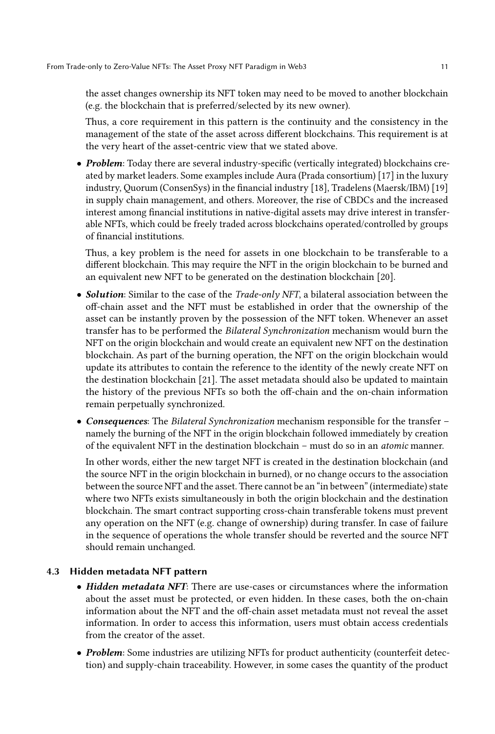the asset changes ownership its NFT token may need to be moved to another blockchain (e.g. the blockchain that is preferred/selected by its new owner).

Thus, a core requirement in this pattern is the continuity and the consistency in the management of the state of the asset across different blockchains. This requirement is at the very heart of the asset-centric view that we stated above.

• Problem: Today there are several industry-specific (vertically integrated) blockchains created by market leaders. Some examples include Aura (Prada consortium) [\[17\]](#page-14-0) in the luxury industry, Quorum (ConsenSys) in the financial industry [\[18\]](#page-14-1), Tradelens (Maersk/IBM) [\[19\]](#page-14-2) in supply chain management, and others. Moreover, the rise of CBDCs and the increased interest among financial institutions in native-digital assets may drive interest in transferable NFTs, which could be freely traded across blockchains operated/controlled by groups of financial institutions.

Thus, a key problem is the need for assets in one blockchain to be transferable to a different blockchain. This may require the NFT in the origin blockchain to be burned and an equivalent new NFT to be generated on the destination blockchain [\[20\]](#page-14-3).

- Solution: Similar to the case of the *Trade-only NFT*, a bilateral association between the off-chain asset and the NFT must be established in order that the ownership of the asset can be instantly proven by the possession of the NFT token. Whenever an asset transfer has to be performed the Bilateral Synchronization mechanism would burn the NFT on the origin blockchain and would create an equivalent new NFT on the destination blockchain. As part of the burning operation, the NFT on the origin blockchain would update its attributes to contain the reference to the identity of the newly create NFT on the destination blockchain [\[21\]](#page-14-4). The asset metadata should also be updated to maintain the history of the previous NFTs so both the off-chain and the on-chain information remain perpetually synchronized.
- Consequences: The Bilateral Synchronization mechanism responsible for the transfer namely the burning of the NFT in the origin blockchain followed immediately by creation of the equivalent NFT in the destination blockchain – must do so in an atomic manner.

In other words, either the new target NFT is created in the destination blockchain (and the source NFT in the origin blockchain in burned), or no change occurs to the association between the source NFT and the asset. There cannot be an "in between" (intermediate) state where two NFTs exists simultaneously in both the origin blockchain and the destination blockchain. The smart contract supporting cross-chain transferable tokens must prevent any operation on the NFT (e.g. change of ownership) during transfer. In case of failure in the sequence of operations the whole transfer should be reverted and the source NFT should remain unchanged.

# 4.3 Hidden metadata NFT pattern

- Hidden metadata NFT: There are use-cases or circumstances where the information about the asset must be protected, or even hidden. In these cases, both the on-chain information about the NFT and the off-chain asset metadata must not reveal the asset information. In order to access this information, users must obtain access credentials from the creator of the asset.
- Problem: Some industries are utilizing NFTs for product authenticity (counterfeit detection) and supply-chain traceability. However, in some cases the quantity of the product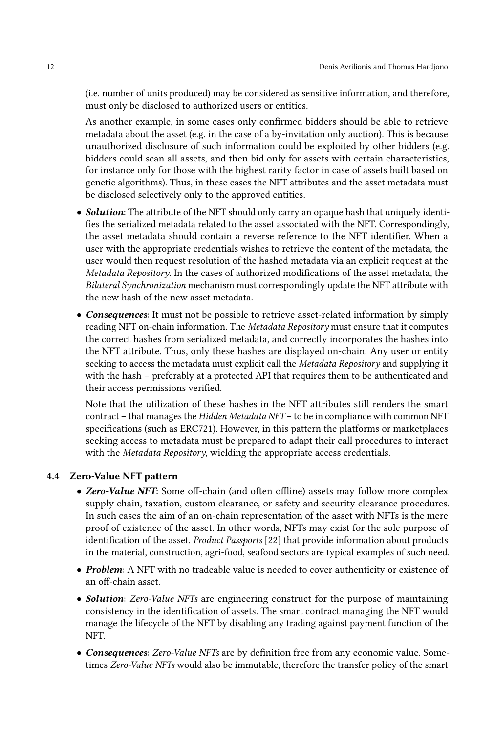(i.e. number of units produced) may be considered as sensitive information, and therefore, must only be disclosed to authorized users or entities.

As another example, in some cases only confirmed bidders should be able to retrieve metadata about the asset (e.g. in the case of a by-invitation only auction). This is because unauthorized disclosure of such information could be exploited by other bidders (e.g. bidders could scan all assets, and then bid only for assets with certain characteristics, for instance only for those with the highest rarity factor in case of assets built based on genetic algorithms). Thus, in these cases the NFT attributes and the asset metadata must be disclosed selectively only to the approved entities.

- **Solution**: The attribute of the NFT should only carry an opaque hash that uniquely identifies the serialized metadata related to the asset associated with the NFT. Correspondingly, the asset metadata should contain a reverse reference to the NFT identifier. When a user with the appropriate credentials wishes to retrieve the content of the metadata, the user would then request resolution of the hashed metadata via an explicit request at the Metadata Repository. In the cases of authorized modifications of the asset metadata, the Bilateral Synchronization mechanism must correspondingly update the NFT attribute with the new hash of the new asset metadata.
- Consequences: It must not be possible to retrieve asset-related information by simply reading NFT on-chain information. The Metadata Repository must ensure that it computes the correct hashes from serialized metadata, and correctly incorporates the hashes into the NFT attribute. Thus, only these hashes are displayed on-chain. Any user or entity seeking to access the metadata must explicit call the Metadata Repository and supplying it with the hash – preferably at a protected API that requires them to be authenticated and their access permissions verified.

Note that the utilization of these hashes in the NFT attributes still renders the smart contract – that manages the Hidden Metadata NFT – to be in compliance with common NFT specifications (such as ERC721). However, in this pattern the platforms or marketplaces seeking access to metadata must be prepared to adapt their call procedures to interact with the *Metadata Repository*, wielding the appropriate access credentials.

# 4.4 Zero-Value NFT pattern

- Zero-Value NFT: Some off-chain (and often offline) assets may follow more complex supply chain, taxation, custom clearance, or safety and security clearance procedures. In such cases the aim of an on-chain representation of the asset with NFTs is the mere proof of existence of the asset. In other words, NFTs may exist for the sole purpose of identification of the asset. Product Passports [\[22\]](#page-14-5) that provide information about products in the material, construction, agri-food, seafood sectors are typical examples of such need.
- Problem: A NFT with no tradeable value is needed to cover authenticity or existence of an off-chain asset.
- Solution: Zero-Value NFTs are engineering construct for the purpose of maintaining consistency in the identification of assets. The smart contract managing the NFT would manage the lifecycle of the NFT by disabling any trading against payment function of the NFT.
- Consequences: Zero-Value NFTs are by definition free from any economic value. Sometimes Zero-Value NFTs would also be immutable, therefore the transfer policy of the smart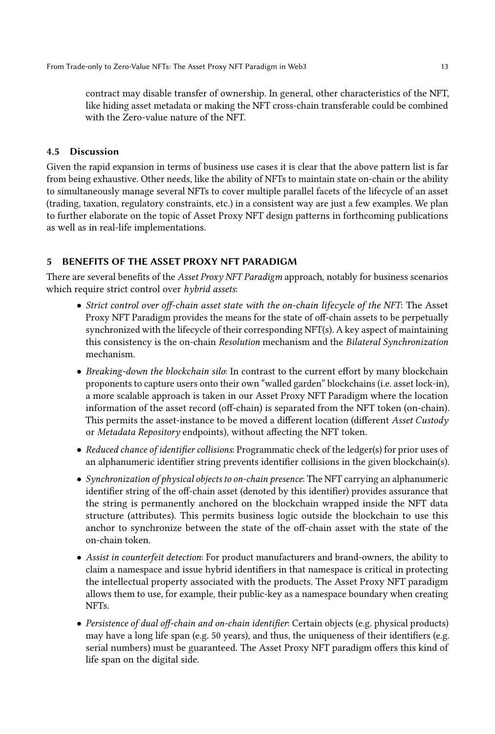contract may disable transfer of ownership. In general, other characteristics of the NFT, like hiding asset metadata or making the NFT cross-chain transferable could be combined with the Zero-value nature of the NFT.

# 4.5 Discussion

Given the rapid expansion in terms of business use cases it is clear that the above pattern list is far from being exhaustive. Other needs, like the ability of NFTs to maintain state on-chain or the ability to simultaneously manage several NFTs to cover multiple parallel facets of the lifecycle of an asset (trading, taxation, regulatory constraints, etc.) in a consistent way are just a few examples. We plan to further elaborate on the topic of Asset Proxy NFT design patterns in forthcoming publications as well as in real-life implementations.

# 5 BENEFITS OF THE ASSET PROXY NFT PARADIGM

There are several benefits of the Asset Proxy NFT Paradigm approach, notably for business scenarios which require strict control over hybrid assets:

- Strict control over off-chain asset state with the on-chain lifecycle of the NFT: The Asset Proxy NFT Paradigm provides the means for the state of off-chain assets to be perpetually synchronized with the lifecycle of their corresponding NFT(s). A key aspect of maintaining this consistency is the on-chain Resolution mechanism and the Bilateral Synchronization mechanism.
- Breaking-down the blockchain silo: In contrast to the current effort by many blockchain proponents to capture users onto their own "walled garden" blockchains (i.e. asset lock-in), a more scalable approach is taken in our Asset Proxy NFT Paradigm where the location information of the asset record (off-chain) is separated from the NFT token (on-chain). This permits the asset-instance to be moved a different location (different Asset Custody or Metadata Repository endpoints), without affecting the NFT token.
- Reduced chance of identifier collisions: Programmatic check of the ledger(s) for prior uses of an alphanumeric identifier string prevents identifier collisions in the given blockchain(s).
- Synchronization of physical objects to on-chain presence: The NFT carrying an alphanumeric identifier string of the off-chain asset (denoted by this identifier) provides assurance that the string is permanently anchored on the blockchain wrapped inside the NFT data structure (attributes). This permits business logic outside the blockchain to use this anchor to synchronize between the state of the off-chain asset with the state of the on-chain token.
- Assist in counterfeit detection: For product manufacturers and brand-owners, the ability to claim a namespace and issue hybrid identifiers in that namespace is critical in protecting the intellectual property associated with the products. The Asset Proxy NFT paradigm allows them to use, for example, their public-key as a namespace boundary when creating NFTs.
- Persistence of dual off-chain and on-chain identifier: Certain objects (e.g. physical products) may have a long life span (e.g. 50 years), and thus, the uniqueness of their identifiers (e.g. serial numbers) must be guaranteed. The Asset Proxy NFT paradigm offers this kind of life span on the digital side.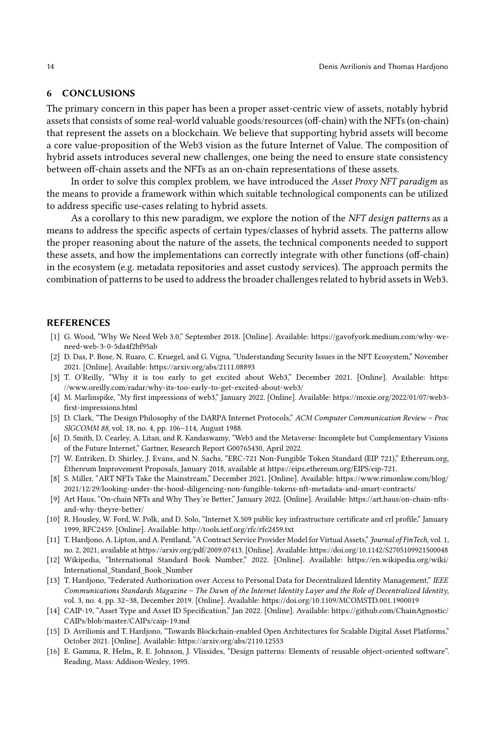### 6 CONCLUSIONS

The primary concern in this paper has been a proper asset-centric view of assets, notably hybrid assets that consists of some real-world valuable goods/resources (off-chain) with the NFTs (on-chain) that represent the assets on a blockchain. We believe that supporting hybrid assets will become a core value-proposition of the Web3 vision as the future Internet of Value. The composition of hybrid assets introduces several new challenges, one being the need to ensure state consistency between off-chain assets and the NFTs as an on-chain representations of these assets.

In order to solve this complex problem, we have introduced the Asset Proxy NFT paradigm as the means to provide a framework within which suitable technological components can be utilized to address specific use-cases relating to hybrid assets.

As a corollary to this new paradigm, we explore the notion of the NFT design patterns as a means to address the specific aspects of certain types/classes of hybrid assets. The patterns allow the proper reasoning about the nature of the assets, the technical components needed to support these assets, and how the implementations can correctly integrate with other functions (off-chain) in the ecosystem (e.g. metadata repositories and asset custody services). The approach permits the combination of patterns to be used to address the broader challenges related to hybrid assets in Web3.

### **REFERENCES**

- <span id="page-13-0"></span>[1] G. Wood, "Why We Need Web 3.0," September 2018. [Online]. Available: [https://gavofyork.medium.com/why-we](https://gavofyork.medium.com/why-we-need-web-3-0-5da4f2bf95ab)[need-web-3-0-5da4f2bf95ab](https://gavofyork.medium.com/why-we-need-web-3-0-5da4f2bf95ab)
- <span id="page-13-1"></span>[2] D. Das, P. Bose, N. Ruaro, C. Kruegel, and G. Vigna, "Understanding Security Issues in the NFT Ecosystem," November 2021. [Online]. Available:<https://arxiv.org/abs/2111.08893>
- [3] T. O'Reilly, "Why it is too early to get excited about Web3," December 2021. [Online]. Available: [https:](https://www.oreilly.com/radar/why-its-too-early-to-get-excited-about-web3/) [//www.oreilly.com/radar/why-its-too-early-to-get-excited-about-web3/](https://www.oreilly.com/radar/why-its-too-early-to-get-excited-about-web3/)
- <span id="page-13-2"></span>[4] M. Marlinspike, "My first impressions of web3," January 2022. [Online]. Available: [https://moxie.org/2022/01/07/web3](https://moxie.org/2022/01/07/web3-first-impressions.html) [first-impressions.html](https://moxie.org/2022/01/07/web3-first-impressions.html)
- <span id="page-13-3"></span>[5] D. Clark, "The Design Philosophy of the DARPA Internet Protocols," ACM Computer Communication Review – Proc SIGCOMM 88, vol. 18, no. 4, pp. 106–114, August 1988.
- <span id="page-13-4"></span>[6] D. Smith, D. Cearley, A. Litan, and R. Kandaswamy, "Web3 and the Metaverse: Incomplete but Complementary Visions of the Future Internet," Gartner, Research Report G00765430, April 2022.
- <span id="page-13-5"></span>[7] W. Entriken, D. Shirley, J. Evans, and N. Sachs, "ERC-721 Non-Fungible Token Standard (EIP 721)," Ethereum.org, Ethereum Improvement Proposals, January 2018, available at https://eips.ethereum.org/EIPS/eip-721.
- <span id="page-13-6"></span>[8] S. Miller, "ART NFTs Take the Mainstream," December 2021. [Online]. Available: [https://www.rimonlaw.com/blog/](https://www.rimonlaw.com/blog/2021/12/29/looking-under-the-hood-diligencing-non-fungible-tokens-nft-metadata-and-smart-contracts/) [2021/12/29/looking-under-the-hood-diligencing-non-fungible-tokens-nft-metadata-and-smart-contracts/](https://www.rimonlaw.com/blog/2021/12/29/looking-under-the-hood-diligencing-non-fungible-tokens-nft-metadata-and-smart-contracts/)
- <span id="page-13-7"></span>[9] Art Haus, "On-chain NFTs and Why They're Better," January 2022. [Online]. Available: [https://art.haus/on-chain-nfts](https://art.haus/on-chain-nfts-and-why-theyre-better/)[and-why-theyre-better/](https://art.haus/on-chain-nfts-and-why-theyre-better/)
- <span id="page-13-8"></span>[10] R. Housley, W. Ford, W. Polk, and D. Solo, "Internet X.509 public key infrastructure certificate and crl profile," January 1999, RFC2459. [Online]. Available:<http://tools.ietf.org/rfc/rfc2459.txt>
- <span id="page-13-9"></span>[11] T. Hardjono, A. Lipton, and A. Pentland, "A Contract Service Provider Model for Virtual Assets," Journal of FinTech, vol. 1, no. 2, 2021, available at https://arxiv.org/pdf/2009.07413. [Online]. Available:<https://doi.org/10.1142/S2705109921500048>
- <span id="page-13-10"></span>[12] Wikipedia, "International Standard Book Number," 2022. [Online]. Available: [https://en.wikipedia.org/wiki/](https://en.wikipedia.org/wiki/International_Standard_Book_Number) [International\\_Standard\\_Book\\_Number](https://en.wikipedia.org/wiki/International_Standard_Book_Number)
- <span id="page-13-11"></span>[13] T. Hardjono, "Federated Authorization over Access to Personal Data for Decentralized Identity Management," IEEE Communications Standards Magazine – The Dawn of the Internet Identity Layer and the Role of Decentralized Identity, vol. 3, no. 4, pp. 32–38, December 2019. [Online]. Available:<https://doi.org/10.1109/MCOMSTD.001.1900019>
- <span id="page-13-12"></span>[14] CAIP-19, "Asset Type and Asset ID Specification," Jan 2022. [Online]. Available: [https://github.com/ChainAgnostic/](https://github.com/ChainAgnostic/CAIPs/blob/master/CAIPs/caip-19.md) [CAIPs/blob/master/CAIPs/caip-19.md](https://github.com/ChainAgnostic/CAIPs/blob/master/CAIPs/caip-19.md)
- <span id="page-13-13"></span>[15] D. Avrilionis and T. Hardjono, "Towards Blockchain-enabled Open Architectures for Scalable Digital Asset Platforms," October 2021. [Online]. Available:<https://arxiv.org/abs/2110.12553>
- <span id="page-13-14"></span>[16] E. Gamma, R. Helm., R. E. Johnson, J. Vlissides, "Design patterns: Elements of reusable object-oriented software". Reading, Mass: Addison-Wesley, 1995.